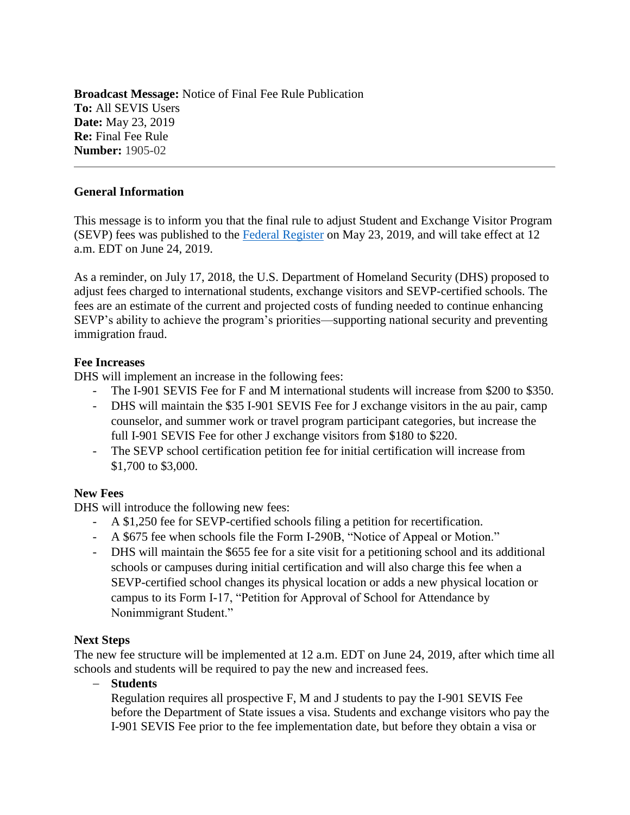**Broadcast Message:** Notice of Final Fee Rule Publication **To:** All SEVIS Users **Date:** May 23, 2019 **Re:** Final Fee Rule **Number:** 1905-02

### **General Information**

This message is to inform you that the final rule to adjust Student and Exchange Visitor Program (SEVP) fees was published to the [Federal Register](https://www.federalregister.gov/documents/2019/05/23/2019-10884/program-fees-for-the-student-and-exchange-visitor-program) on May 23, 2019, and will take effect at 12 a.m. EDT on June 24, 2019.

As a reminder, on July 17, 2018, the U.S. Department of Homeland Security (DHS) proposed to adjust fees charged to international students, exchange visitors and SEVP-certified schools. The fees are an estimate of the current and projected costs of funding needed to continue enhancing SEVP's ability to achieve the program's priorities—supporting national security and preventing immigration fraud.

#### **Fee Increases**

DHS will implement an increase in the following fees:

- The I-901 SEVIS Fee for F and M international students will increase from \$200 to \$350.
- DHS will maintain the \$35 I-901 SEVIS Fee for J exchange visitors in the au pair, camp counselor, and summer work or travel program participant categories, but increase the full I-901 SEVIS Fee for other J exchange visitors from \$180 to \$220.
- The SEVP school certification petition fee for initial certification will increase from \$1,700 to \$3,000.

#### **New Fees**

DHS will introduce the following new fees:

- A \$1,250 fee for SEVP-certified schools filing a petition for recertification.
- A \$675 fee when schools file the Form I-290B, "Notice of Appeal or Motion."
- DHS will maintain the \$655 fee for a site visit for a petitioning school and its additional schools or campuses during initial certification and will also charge this fee when a SEVP-certified school changes its physical location or adds a new physical location or campus to its Form I-17, "Petition for Approval of School for Attendance by Nonimmigrant Student."

#### **Next Steps**

The new fee structure will be implemented at 12 a.m. EDT on June 24, 2019, after which time all schools and students will be required to pay the new and increased fees.

− **Students**

Regulation requires all prospective F, M and J students to pay the I-901 SEVIS Fee before the Department of State issues a visa. Students and exchange visitors who pay the I-901 SEVIS Fee prior to the fee implementation date, but before they obtain a visa or